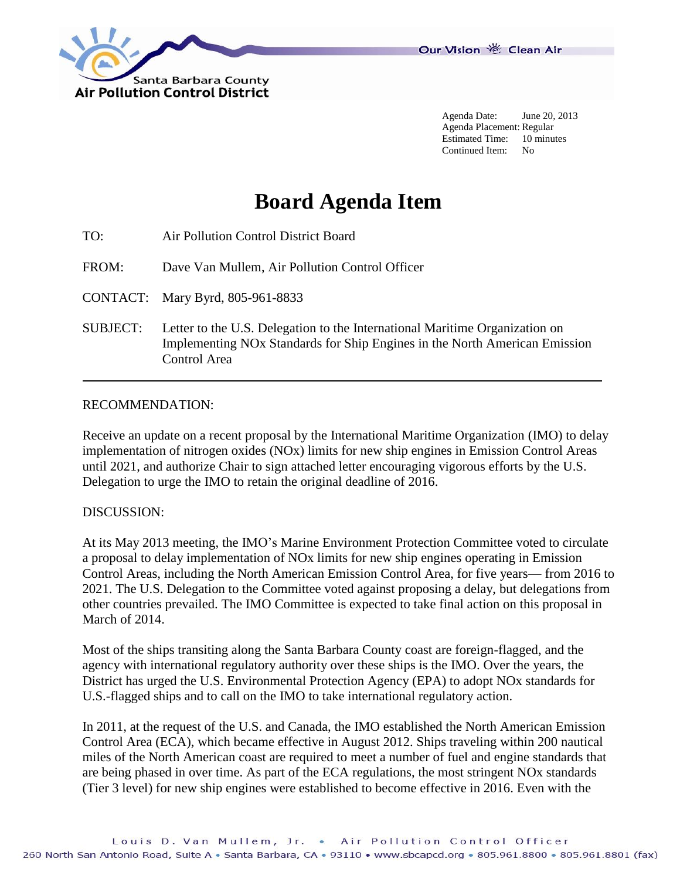

Agenda Date: June 20, 2013 Agenda Placement: Regular Estimated Time: 10 minutes Continued Item: No

## **Board Agenda Item**

| TO: | Air Pollution Control District Board |
|-----|--------------------------------------|
|     |                                      |

FROM: Dave Van Mullem, Air Pollution Control Officer

CONTACT: Mary Byrd, 805-961-8833

SUBJECT: Letter to the U.S. Delegation to the International Maritime Organization on Implementing NOx Standards for Ship Engines in the North American Emission Control Area

## RECOMMENDATION:

Receive an update on a recent proposal by the International Maritime Organization (IMO) to delay implementation of nitrogen oxides (NOx) limits for new ship engines in Emission Control Areas until 2021, and authorize Chair to sign attached letter encouraging vigorous efforts by the U.S. Delegation to urge the IMO to retain the original deadline of 2016.

## DISCUSSION:

At its May 2013 meeting, the IMO's Marine Environment Protection Committee voted to circulate a proposal to delay implementation of NOx limits for new ship engines operating in Emission Control Areas, including the North American Emission Control Area, for five years— from 2016 to 2021. The U.S. Delegation to the Committee voted against proposing a delay, but delegations from other countries prevailed. The IMO Committee is expected to take final action on this proposal in March of 2014.

Most of the ships transiting along the Santa Barbara County coast are foreign-flagged, and the agency with international regulatory authority over these ships is the IMO. Over the years, the District has urged the U.S. Environmental Protection Agency (EPA) to adopt NOx standards for U.S.-flagged ships and to call on the IMO to take international regulatory action.

In 2011, at the request of the U.S. and Canada, the IMO established the North American Emission Control Area (ECA), which became effective in August 2012. Ships traveling within 200 nautical miles of the North American coast are required to meet a number of fuel and engine standards that are being phased in over time. As part of the ECA regulations, the most stringent NOx standards (Tier 3 level) for new ship engines were established to become effective in 2016. Even with the